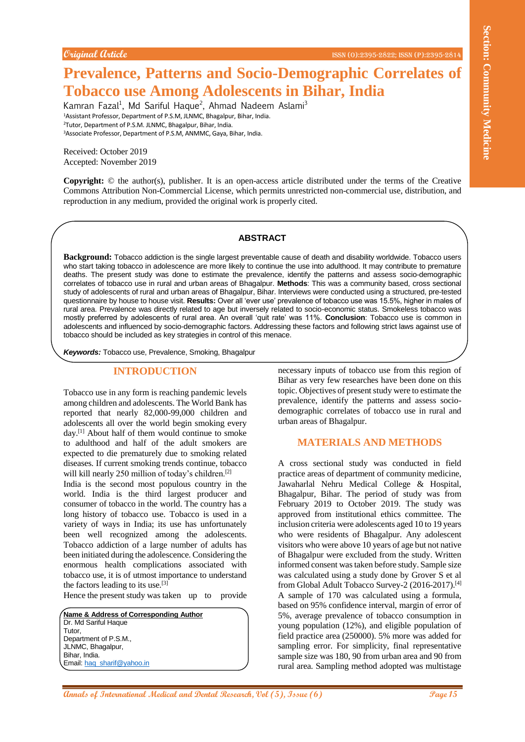# **Prevalence, Patterns and Socio-Demographic Correlates of Tobacco use Among Adolescents in Bihar, India**

Kamran Fazal<sup>1</sup>, Md Sariful Haque<sup>2</sup>, Ahmad Nadeem Aslami<sup>3</sup> <sup>1</sup>Assistant Professor, Department of P.S.M, JLNMC, Bhagalpur, Bihar, India. <sup>2</sup>Tutor, Department of P.S.M. JLNMC, Bhagalpur, Bihar, India. <sup>3</sup>Associate Professor, Department of P.S.M, ANMMC, Gaya, Bihar, India.

Received: October 2019 Accepted: November 2019

**Copyright:** © the author(s), publisher. It is an open-access article distributed under the terms of the Creative Commons Attribution Non-Commercial License, which permits unrestricted non-commercial use, distribution, and reproduction in any medium, provided the original work is properly cited.

#### **ABSTRACT**

**Background:** Tobacco addiction is the single largest preventable cause of death and disability worldwide. Tobacco users who start taking tobacco in adolescence are more likely to continue the use into adulthood. It may contribute to premature deaths. The present study was done to estimate the prevalence, identify the patterns and assess socio-demographic correlates of tobacco use in rural and urban areas of Bhagalpur. **Methods**: This was a community based, cross sectional study of adolescents of rural and urban areas of Bhagalpur, Bihar. Interviews were conducted using a structured, pre-tested questionnaire by house to house visit. **Results:** Over all 'ever use' prevalence of tobacco use was 15.5%, higher in males of rural area. Prevalence was directly related to age but inversely related to socio-economic status. Smokeless tobacco was mostly preferred by adolescents of rural area. An overall 'quit rate' was 11%. **Conclusion**: Tobacco use is common in adolescents and influenced by socio-demographic factors. Addressing these factors and following strict laws against use of tobacco should be included as key strategies in control of this menace.

*Keywords:* Tobacco use, Prevalence, Smoking, Bhagalpur

# **INTRODUCTION**

Tobacco use in any form is reaching pandemic levels among children and adolescents. The World Bank has reported that nearly 82,000-99,000 children and adolescents all over the world begin smoking every day.[1] About half of them would continue to smoke to adulthood and half of the adult smokers are expected to die prematurely due to smoking related diseases. If current smoking trends continue, tobacco will kill nearly 250 million of today's children.<sup>[2]</sup>

India is the second most populous country in the world. India is the third largest producer and consumer of tobacco in the world. The country has a long history of tobacco use. Tobacco is used in a variety of ways in India; its use has unfortunately been well recognized among the adolescents. Tobacco addiction of a large number of adults has been initiated during the adolescence. Considering the enormous health complications associated with tobacco use, it is of utmost importance to understand the factors leading to its use.[3]

Hence the present study was taken up to provide

**Name & Address of Corresponding Author** Dr. Md Sariful Haque Tutor, Department of P.S.M., JLNMC, Bhagalpur, Bihar, India. Email: hag\_sharif@yahoo.in

necessary inputs of tobacco use from this region of Bihar as very few researches have been done on this topic. Objectives of present study were to estimate the prevalence, identify the patterns and assess sociodemographic correlates of tobacco use in rural and urban areas of Bhagalpur.

## **MATERIALS AND METHODS**

**Community Controlling to the Controlling Controlling Controlling Controlling Controlling Controlling Controlling Controlling Controlling Controlling Controlling Controlling Controlling Controlling Controlling Controlling** A cross sectional study was conducted in field practice areas of department of community medicine, Jawaharlal Nehru Medical College & Hospital, Bhagalpur, Bihar. The period of study was from February 2019 to October 2019. The study was approved from institutional ethics committee. The inclusion criteria were adolescents aged 10 to 19 years who were residents of Bhagalpur. Any adolescent visitors who were above 10 years of age but not native of Bhagalpur were excluded from the study. Written informed consent was taken before study. Sample size was calculated using a study done by Grover S et al from Global Adult Tobacco Survey-2 (2016-2017).[4] A sample of 170 was calculated using a formula, based on 95% confidence interval, margin of error of 5%, average prevalence of tobacco consumption in young population (12%), and eligible population of field practice area (250000). 5% more was added for sampling error. For simplicity, final representative sample size was 180, 90 from urban area and 90 from rural area. Sampling method adopted was multistage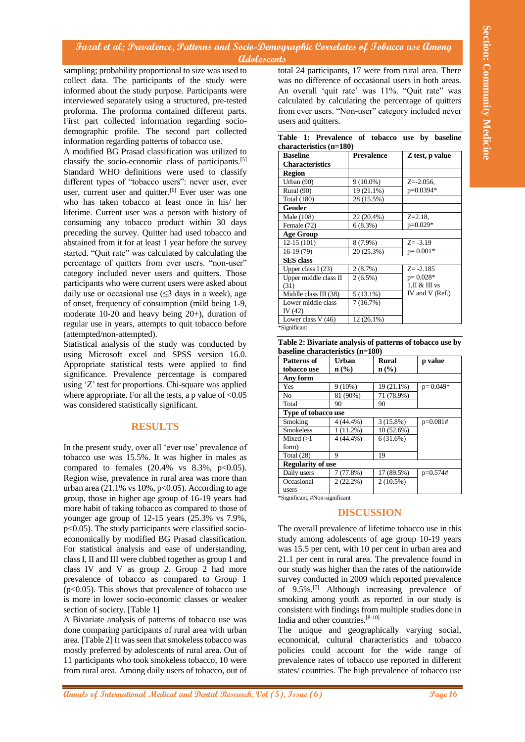## **Fazal et al; Prevalence, Patterns and Socio-Demographic Correlates of Tobacco use Among Adolescents**

sampling; probability proportional to size was used to collect data. The participants of the study were informed about the study purpose. Participants were interviewed separately using a structured, pre-tested proforma. The proforma contained different parts. First part collected information regarding sociodemographic profile. The second part collected information regarding patterns of tobacco use.

Traced **A** delig Decorations, *Childrens* and Section Observation Community Constrained Proposition The main of the Constrained Community and Community Medical and Community Community Community Community Community Communi A modified BG Prasad classification was utilized to classify the socio-economic class of participants.[5] Standard WHO definitions were used to classify different types of "tobacco users": never user, ever user, current user and quitter.<sup>[6]</sup> Ever user was one who has taken tobacco at least once in his/ her lifetime. Current user was a person with history of consuming any tobacco product within 30 days preceding the survey. Quitter had used tobacco and abstained from it for at least 1 year before the survey started. "Quit rate" was calculated by calculating the percentage of quitters from ever users. "non-user" category included never users and quitters. Those participants who were current users were asked about daily use or occasional use  $(\leq 3$  days in a week), age of onset, frequency of consumption (mild being 1-9, moderate 10-20 and heavy being 20+), duration of regular use in years, attempts to quit tobacco before (attempted/non-attempted).

Statistical analysis of the study was conducted by using Microsoft excel and SPSS version 16.0. Appropriate statistical tests were applied to find significance. Prevalence percentage is compared using 'Z' test for proportions. Chi-square was applied where appropriate. For all the tests, a p value of  $< 0.05$ was considered statistically significant.

## **RESULTS**

In the present study, over all 'ever use' prevalence of tobacco use was 15.5%. It was higher in males as compared to females  $(20.4\% \text{ vs } 8.3\%, \text{ p} < 0.05)$ . Region wise, prevalence in rural area was more than urban area (21.1% vs  $10\%$ ,  $p<0.05$ ). According to age group, those in higher age group of 16-19 years had more habit of taking tobacco as compared to those of younger age group of 12-15 years (25.3% vs 7.9%, p<0.05). The study participants were classified socioeconomically by modified BG Prasad classification. For statistical analysis and ease of understanding, class I, II and III were clubbed together as group 1 and class IV and V as group 2. Group 2 had more prevalence of tobacco as compared to Group 1  $(p<0.05)$ . This shows that prevalence of tobacco use is more in lower socio-economic classes or weaker section of society. [Table 1]

A Bivariate analysis of patterns of tobacco use was done comparing participants of rural area with urban area. [Table 2] It was seen that smokeless tobacco was mostly preferred by adolescents of rural area. Out of 11 participants who took smokeless tobacco, 10 were from rural area. Among daily users of tobacco, out of

total 24 participants, 17 were from rural area. There was no difference of occasional users in both areas. An overall 'quit rate' was 11%. "Quit rate" was calculated by calculating the percentage of quitters from ever users. "Non-user" category included never users and quitters.

|  | Table 1: Prevalence of tobacco use by baseline |  |  |  |
|--|------------------------------------------------|--|--|--|
|  | characteristics (n=180)                        |  |  |  |

| <b>Baseline</b>        | <b>Prevalence</b> | Z test, p value   |  |
|------------------------|-------------------|-------------------|--|
| <b>Characteristics</b> |                   |                   |  |
| Region                 |                   |                   |  |
| Urban (90)             | $9(10.0\%)$       | $Z = -2.056$ ,    |  |
| Rural (90)             | 19 (21.1%)        | p=0.0394*         |  |
| Total (180)            | 28 (15.5%)        |                   |  |
| <b>Gender</b>          |                   |                   |  |
| Male (108)             | 22 (20.4%)        | $Z = 2.18$ .      |  |
| Female (72)            | 6(8.3%)           | $p=0.029*$        |  |
| <b>Age Group</b>       |                   |                   |  |
| $12-15(101)$           | 8 (7.9%)          | $Z = -3.19$       |  |
| 16-19 (79)             | 20 (25.3%)        | $p=0.001*$        |  |
| <b>SES</b> class       |                   |                   |  |
| Upper class $I(23)$    | 2(8.7%)           | $Z = -2.185$      |  |
| Upper middle class II  | $2(6.5\%)$        | $p = 0.028*$      |  |
| (31)                   |                   | $1$ , II & III vs |  |
| Middle class III (38)  | $5(13.1\%)$       | IV and V (Ref.)   |  |
| Lower middle class     | 7(16.7%)          |                   |  |
| IV (42)                |                   |                   |  |
| Lower class V (46)     | $12(26.1\%)$      |                   |  |
| *Significant           |                   |                   |  |

|                                  | Table 2: Bivariate analysis of patterns of tobacco use by |
|----------------------------------|-----------------------------------------------------------|
| baseline characteristics (n=180) |                                                           |

| Patterns of                | Urban                       | <b>Rural</b>                | p value      |  |
|----------------------------|-----------------------------|-----------------------------|--------------|--|
| tobacco use                | $n\left(\frac{0}{0}\right)$ | $n\left(\frac{0}{0}\right)$ |              |  |
| Any form                   |                             |                             |              |  |
| Yes                        | $9(10\%)$                   | 19 (21.1%)                  | $p = 0.049*$ |  |
| No.                        | 81 (90%)                    | 71 (78.9%)                  |              |  |
| Total                      | 90                          | 90                          |              |  |
| <b>Type of tobacco use</b> |                             |                             |              |  |
| Smoking                    | 4 (44.4%)                   | $3(15.8\%)$                 | $p=0.081#$   |  |
| <b>Smokeless</b>           | $1(11.2\%)$                 | 10 (52.6%)                  |              |  |
| Mixed $(>1)$               | $4(44.4\%)$                 | 6(31.6%)                    |              |  |
| form)                      |                             |                             |              |  |
| Total $(28)$               | 9                           | 19                          |              |  |
| <b>Regularity of use</b>   |                             |                             |              |  |
| Daily users                | 7(77.8%)                    | 17 (89.5%)                  | $p=0.574#$   |  |
| Occasional                 | $2(22.2\%)$                 | $2(10.5\%)$                 |              |  |
| users                      |                             |                             |              |  |

\*Significant, #Non-significant

## **DISCUSSION**

The overall prevalence of lifetime tobacco use in this study among adolescents of age group 10-19 years was 15.5 per cent, with 10 per cent in urban area and 21.1 per cent in rural area. The prevalence found in our study was higher than the rates of the nationwide survey conducted in 2009 which reported prevalence of 9.5%.[7] Although increasing prevalence of smoking among youth as reported in our study is consistent with findings from multiple studies done in India and other countries.[8-10]

The unique and geographically varying social, economical, cultural characteristics and tobacco policies could account for the wide range of prevalence rates of tobacco use reported in different states/ countries. The high prevalence of tobacco use